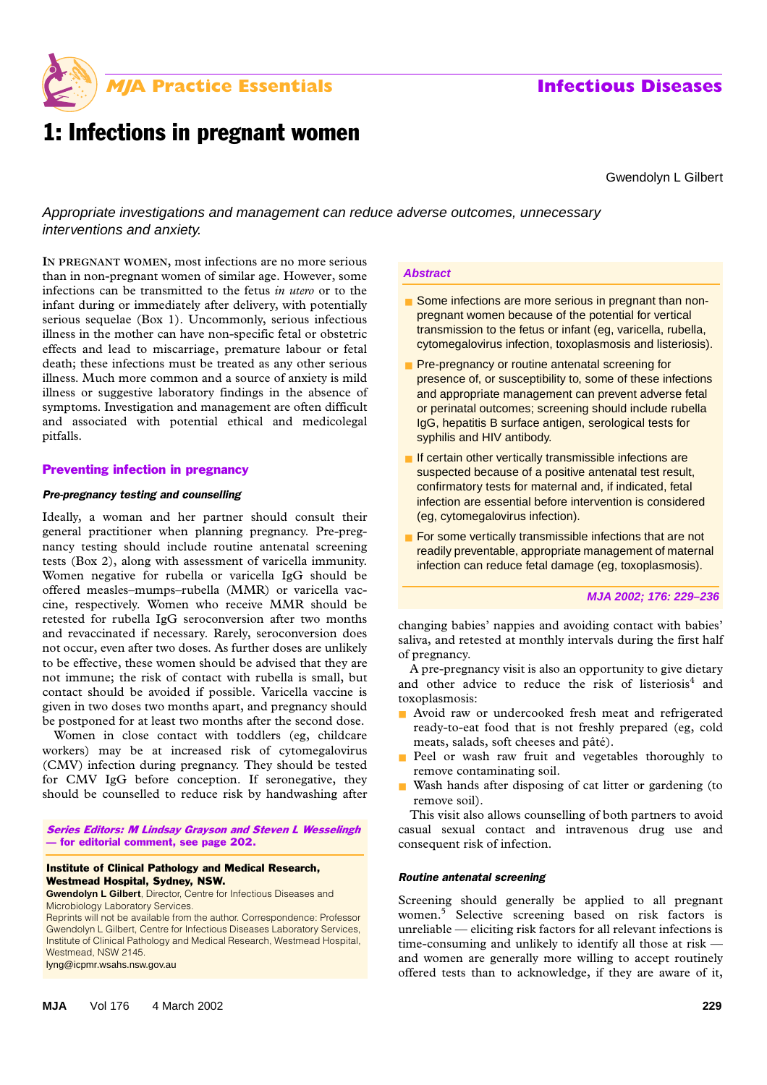

# 1: Infections in pregnant women

Gwendolyn L Gilbert

Appropriate investigations and management can reduce adverse outcomes, unnecessary interventions and anxiety.

the Medical Woman, allow increases are no increasing the more contract. 176 5 229-236 infections can be transmitted to the fetus *in utero* or to the infant during or immediately after delivery, with potentially serious sequelae (Box 1). Uncommonly, serious infectious **IN PREGNANT WOMEN**, most infections are no more serious illness in the mother can have non-specific fetal or obstetric effects and lead to miscarriage, premature labour or fetal death; these infections must be treated as any other serious illness. Much more common and a source of anxiety is mild illness or suggestive laboratory findings in the absence of symptoms. Investigation and management are often difficult and associated with potential ethical and medicolegal pitfalls.

### Preventing infection in pregnancy

### *Pre-pregnancy testing and counselling*

Ideally, a woman and her partner should consult their general practitioner when planning pregnancy. Pre-pregnancy testing should include routine antenatal screening tests (Box 2), along with assessment of varicella immunity. Women negative for rubella or varicella IgG should be offered measles–mumps–rubella (MMR) or varicella vaccine, respectively. Women who receive MMR should be retested for rubella IgG seroconversion after two months and revaccinated if necessary. Rarely, seroconversion does not occur, even after two doses. As further doses are unlikely to be effective, these women should be advised that they are not immune; the risk of contact with rubella is small, but contact should be avoided if possible. Varicella vaccine is given in two doses two months apart, and pregnancy should be postponed for at least two months after the second dose.

Women in close contact with toddlers (eg, childcare workers) may be at increased risk of cytomegalovirus (CMV) infection during pregnancy. They should be tested for CMV IgG before conception. If seronegative, they should be counselled to reduce risk by handwashing after

Series Editors: M Lindsay Grayson and Steven L Wesselingh — for editorial comment, see page 202.

### Institute of Clinical Pathology and Medical Research, Westmead Hospital, Sydney, NSW.

**Gwendolyn L Gilbert**, Director, Centre for Infectious Diseases and Microbiology Laboratory Services.

Reprints will not be available from the author. Correspondence: Professor Gwendolyn L Gilbert, Centre for Infectious Diseases Laboratory Services, Institute of Clinical Pathology and Medical Research, Westmead Hospital, Westmead, NSW 2145.

lyng@icpmr.wsahs.nsw.gov.au

### **Abstract**

- Some infections are more serious in pregnant than nonpregnant women because of the potential for vertical transmission to the fetus or infant (eg, varicella, rubella, cytomegalovirus infection, toxoplasmosis and listeriosis).
- Pre-pregnancy or routine antenatal screening for presence of, or susceptibility to, some of these infections and appropriate management can prevent adverse fetal or perinatal outcomes; screening should include rubella IgG, hepatitis B surface antigen, serological tests for syphilis and HIV antibody.
- If certain other vertically transmissible infections are suspected because of a positive antenatal test result, confirmatory tests for maternal and, if indicated, fetal infection are essential before intervention is considered (eg, cytomegalovirus infection).
- For some vertically transmissible infections that are not readily preventable, appropriate management of maternal infection can reduce fetal damage (eg, toxoplasmosis).

### **MJA 2002; 176: 229–236**

changing babies' nappies and avoiding contact with babies' saliva, and retested at monthly intervals during the first half of pregnancy.

A pre-pregnancy visit is also an opportunity to give dietary and other advice to reduce the risk of listeriosis<sup>4</sup> and toxoplasmosis:

- Avoid raw or undercooked fresh meat and refrigerated ready-to-eat food that is not freshly prepared (eg, cold meats, salads, soft cheeses and pâté).
- Peel or wash raw fruit and vegetables thoroughly to remove contaminating soil.
- Wash hands after disposing of cat litter or gardening (to remove soil).

This visit also allows counselling of both partners to avoid casual sexual contact and intravenous drug use and consequent risk of infection.

### *Routine antenatal screening*

Screening should generally be applied to all pregnant women.5 Selective screening based on risk factors is unreliable — eliciting risk factors for all relevant infections is time-consuming and unlikely to identify all those at risk and women are generally more willing to accept routinely offered tests than to acknowledge, if they are aware of it,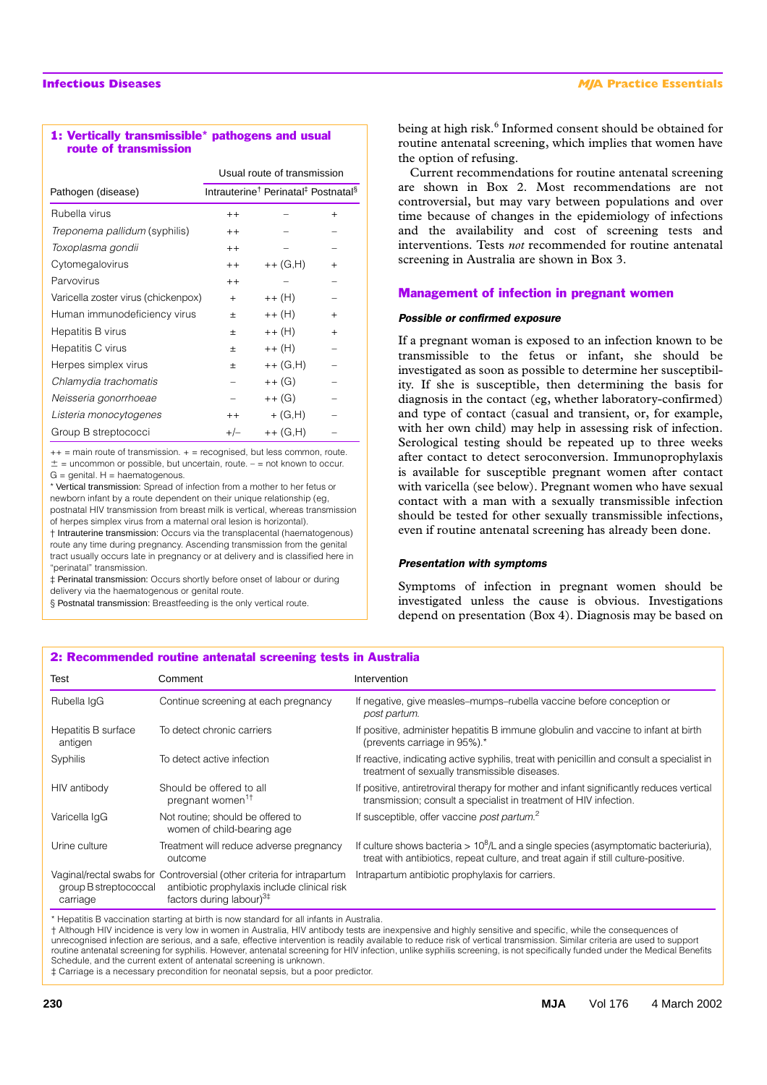### 1: Vertically transmissible\* pathogens and usual route of transmission

|                                     |                                                                         | Usual route of transmission |                |
|-------------------------------------|-------------------------------------------------------------------------|-----------------------------|----------------|
| Pathogen (disease)                  | Intrauterine <sup>†</sup> Perinatal <sup>‡</sup> Postnatal <sup>§</sup> |                             |                |
| Rubella virus                       | $++$                                                                    |                             | $\overline{+}$ |
| Treponema pallidum (syphilis)       | $+ +$                                                                   |                             |                |
| Toxoplasma gondii                   | $++$                                                                    |                             |                |
| Cytomegalovirus                     | $+ +$                                                                   | $++(G,H)$                   | $\ddot{}$      |
| Parvovirus                          | $+ +$                                                                   |                             |                |
| Varicella zoster virus (chickenpox) | $+$                                                                     | ++ (H)                      |                |
| Human immunodeficiency virus        | 士                                                                       | ++ (H)                      | $\ddot{}$      |
| Hepatitis B virus                   | 士                                                                       | ++ (H)                      | $\ddot{}$      |
| Hepatitis C virus                   | 士                                                                       | ++ (H)                      |                |
| Herpes simplex virus                | 士                                                                       | ++ (G,H)                    |                |
| Chlamydia trachomatis               |                                                                         | ++ (G)                      |                |
| Neisseria gonorrhoeae               |                                                                         | ++ (G)                      |                |
| Listeria monocytogenes              | $++$                                                                    | $+$ (G,H)                   |                |
| Group B streptococci                | $+/-$                                                                   | ++ (G,H)                    |                |

 $++$  = main route of transmission.  $+=$  recognised, but less common, route.  $\pm$  = uncommon or possible, but uncertain, route. – = not known to occur.  $G =$  genital.  $H =$  haematogenous.

\* Vertical transmission: Spread of infection from a mother to her fetus or newborn infant by a route dependent on their unique relationship (eg, postnatal HIV transmission from breast milk is vertical, whereas transmission of herpes simplex virus from a maternal oral lesion is horizontal).

† Intrauterine transmission: Occurs via the transplacental (haematogenous) route any time during pregnancy. Ascending transmission from the genital tract usually occurs late in pregnancy or at delivery and is classified here in "perinatal" transmission.

‡ Perinatal transmission: Occurs shortly before onset of labour or during delivery via the haematogenous or genital route.

§ Postnatal transmission: Breastfeeding is the only vertical route.

being at high risk.<sup>6</sup> Informed consent should be obtained for routine antenatal screening, which implies that women have the option of refusing.

Current recommendations for routine antenatal screening are shown in Box 2. Most recommendations are not controversial, but may vary between populations and over time because of changes in the epidemiology of infections and the availability and cost of screening tests and interventions. Tests *not* recommended for routine antenatal screening in Australia are shown in Box 3.

### Management of infection in pregnant women

### *Possible or confirmed exposure*

If a pregnant woman is exposed to an infection known to be transmissible to the fetus or infant, she should be investigated as soon as possible to determine her susceptibility. If she is susceptible, then determining the basis for diagnosis in the contact (eg, whether laboratory-confirmed) and type of contact (casual and transient, or, for example, with her own child) may help in assessing risk of infection. Serological testing should be repeated up to three weeks after contact to detect seroconversion. Immunoprophylaxis is available for susceptible pregnant women after contact with varicella (see below). Pregnant women who have sexual contact with a man with a sexually transmissible infection should be tested for other sexually transmissible infections, even if routine antenatal screening has already been done.

### *Presentation with symptoms*

Symptoms of infection in pregnant women should be investigated unless the cause is obvious. Investigations depend on presentation (Box 4). Diagnosis may be based on

### 2: Recommended routine antenatal screening tests in Australia

| Test                              | Comment                                                                                                                                                      | Intervention                                                                                                                                                                 |
|-----------------------------------|--------------------------------------------------------------------------------------------------------------------------------------------------------------|------------------------------------------------------------------------------------------------------------------------------------------------------------------------------|
| Rubella IgG                       | Continue screening at each pregnancy                                                                                                                         | If negative, give measles–mumps–rubella vaccine before conception or<br>post partum.                                                                                         |
| Hepatitis B surface<br>antigen    | To detect chronic carriers                                                                                                                                   | If positive, administer hepatitis B immune globulin and vaccine to infant at birth<br>(prevents carriage in 95%).*                                                           |
| Syphilis                          | To detect active infection                                                                                                                                   | If reactive, indicating active syphilis, treat with penicillin and consult a specialist in<br>treatment of sexually transmissible diseases.                                  |
| HIV antibody                      | Should be offered to all<br>pregnant women <sup>1†</sup>                                                                                                     | If positive, antiretroviral therapy for mother and infant significantly reduces vertical<br>transmission; consult a specialist in treatment of HIV infection.                |
| Varicella IqG                     | Not routine; should be offered to<br>women of child-bearing age                                                                                              | If susceptible, offer vaccine post partum. <sup>2</sup>                                                                                                                      |
| Urine culture                     | Treatment will reduce adverse pregnancy<br>outcome                                                                                                           | If culture shows bacteria > $10^8$ /L and a single species (asymptomatic bacteriuria),<br>treat with antibiotics, repeat culture, and treat again if still culture-positive. |
| group B streptococcal<br>carriage | Vaginal/rectal swabs for Controversial (other criteria for intrapartum<br>antibiotic prophylaxis include clinical risk<br>factors during labour) $3\ddagger$ | Intrapartum antibiotic prophylaxis for carriers.                                                                                                                             |

\* Hepatitis B vaccination starting at birth is now standard for all infants in Australia.

† Although HIV incidence is very low in women in Australia, HIV antibody tests are inexpensive and highly sensitive and specific, while the consequences of unrecognised infection are serious, and a safe, effective intervention is readily available to reduce risk of vertical transmission. Similar criteria are used to support routine antenatal screening for syphilis. However, antenatal screening for HIV infection, unlike syphilis screening, is not specifically funded under the Medical Benefits Schedule, and the current extent of antenatal screening is unknown.

‡ Carriage is a necessary precondition for neonatal sepsis, but a poor predictor.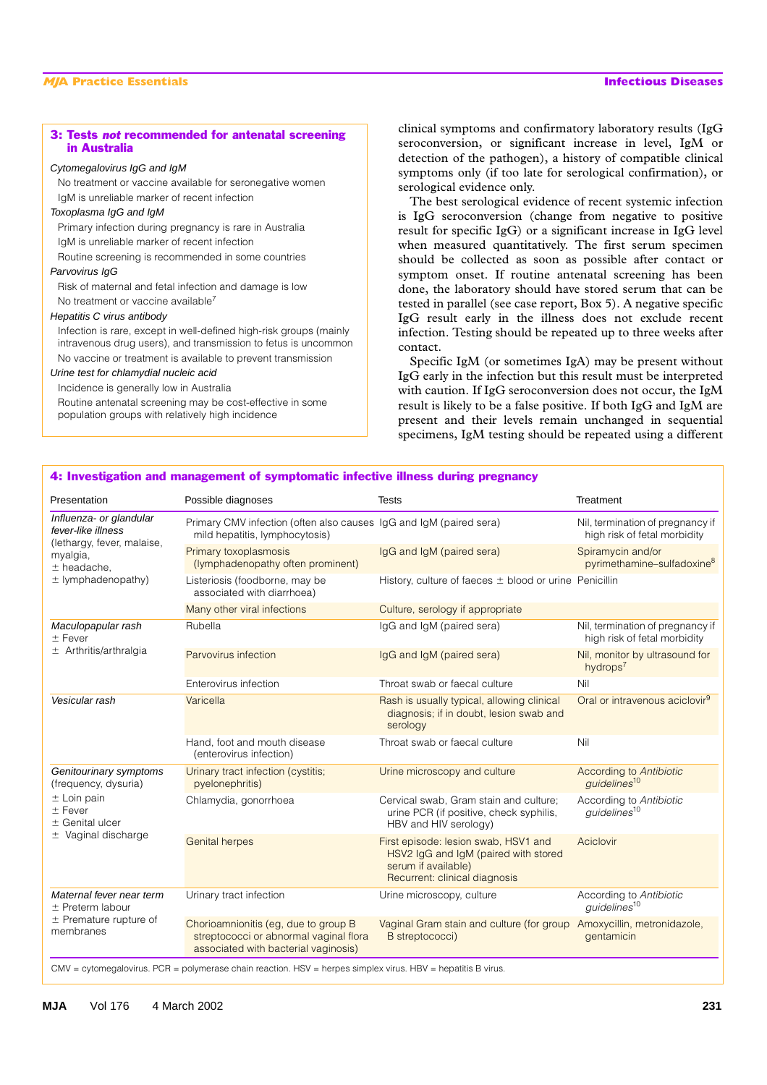### 3: Tests *not* recommended for antenatal screening in Australia

### Cytomegalovirus IgG and IgM

No treatment or vaccine available for seronegative women IgM is unreliable marker of recent infection

### Toxoplasma IgG and IgM

Primary infection during pregnancy is rare in Australia IgM is unreliable marker of recent infection

Routine screening is recommended in some countries

# Parvovirus IgG

Risk of maternal and fetal infection and damage is low No treatment or vaccine available<sup>7</sup>

### Hepatitis C virus antibody

Infection is rare, except in well-defined high-risk groups (mainly intravenous drug users), and transmission to fetus is uncommon No vaccine or treatment is available to prevent transmission

### Urine test for chlamydial nucleic acid

Incidence is generally low in Australia Routine antenatal screening may be cost-effective in some population groups with relatively high incidence

clinical symptoms and confirmatory laboratory results (IgG seroconversion, or significant increase in level, IgM or detection of the pathogen), a history of compatible clinical symptoms only (if too late for serological confirmation), or serological evidence only.

The best serological evidence of recent systemic infection is IgG seroconversion (change from negative to positive result for specific IgG) or a significant increase in IgG level when measured quantitatively. The first serum specimen should be collected as soon as possible after contact or symptom onset. If routine antenatal screening has been done, the laboratory should have stored serum that can be tested in parallel (see case report, Box 5). A negative specific IgG result early in the illness does not exclude recent infection. Testing should be repeated up to three weeks after contact.

Specific IgM (or sometimes IgA) may be present without IgG early in the infection but this result must be interpreted with caution. If IgG seroconversion does not occur, the IgM result is likely to be a false positive. If both IgG and IgM are present and their levels remain unchanged in sequential specimens, IgM testing should be repeated using a different

### 4: Investigation and management of symptomatic infective illness during pregnancy Presentation **Possible diagnoses** Tests Tests Treatment Influenza- or glandular fever-like illness (lethargy, fever, malaise, myalgia,  $±$  headache,  $\pm$  lymphadenopathy) Primary CMV infection (often also causes IgG and IgM (paired sera) mild hepatitis, lymphocytosis) Nil, termination of pregnancy if high risk of fetal morbidity Primary toxoplasmosis (lymphadenopathy often prominent) IgG and IgM (paired sera) Spiramycin and/or pyrimethamine–sulfadoxine<sup>8</sup> Listeriosis (foodborne, may be associated with diarrhoea) History, culture of faeces  $\pm$  blood or urine Penicillin Many other viral infections **Culture**, serology if appropriate Maculopapular rash  $±$  Fever Arthritis/arthralgia Rubella **IgG and IgM (paired sera)** Nil, termination of pregnancy if high risk of fetal morbidity Parvovirus infection IgG and IgM (paired sera) Nil, monitor by ultrasound for hydrops<sup>7</sup> Enterovirus infection Throat swab or faecal culture Nil **Vesicular rash Varicella** Varicella Rash is usually typical, allowing clinical diagnosis; if in doubt, lesion swab and serology Oral or intravenous aciclovir<sup>9</sup> Hand, foot and mouth disease (enterovirus infection) Throat swab or faecal culture Nil Genitourinary symptoms (frequency, dysuria)  $±$  Loin pain  $±$  Fever  $±$  Genital ulcer  $±$  Vaginal discharge Urinary tract infection (cystitis; pyelonephritis) Urine microscopy and culture **According to Antibiotic Antibiotic** *guidelines*<sup>10</sup> Chlamydia, gonorrhoea Cervical swab, Gram stain and culture; urine PCR (if positive, check syphilis, HBV and HIV serology) According to *Antibiotic guidelines*<sup>10</sup> Genital herpes First episode: lesion swab, HSV1 and HSV2 IgG and IgM (paired with stored serum if available) Recurrent: clinical diagnosis **Aciclovir** Maternal fever near term  $±$  Preterm labour  $±$  Premature rupture of membranes Urinary tract infection **Urine microscopy, culture** According to *Antibiotic* **Urine microscopy, culture** According to *Antibiotic guidelines*<sup>10</sup> Chorioamnionitis (eg, due to group B streptococci or abnormal vaginal flora associated with bacterial vaginosis) Vaginal Gram stain and culture (for group Amoxycillin, metronidazole, B streptococci) gentamicin

CMV = cytomegalovirus. PCR = polymerase chain reaction. HSV = herpes simplex virus. HBV = hepatitis B virus.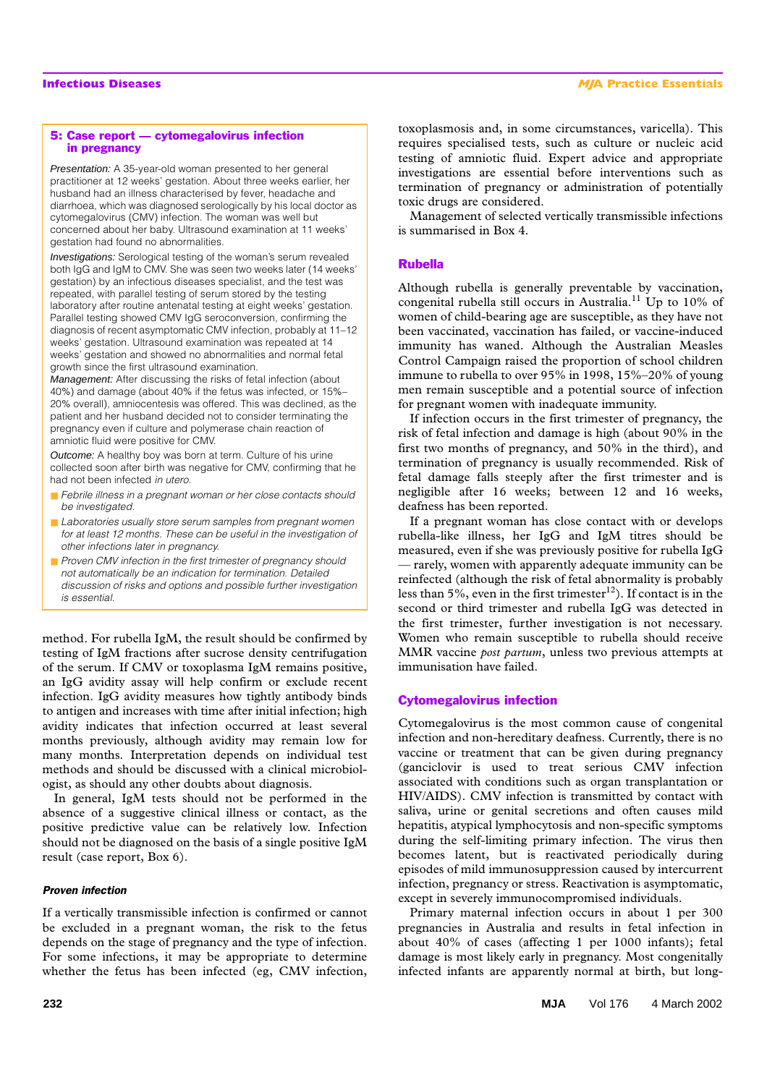### 5: Case report — cytomegalovirus infection in pregnancy

Presentation: A 35-year-old woman presented to her general practitioner at 12 weeks' gestation. About three weeks earlier, her husband had an illness characterised by fever, headache and diarrhoea, which was diagnosed serologically by his local doctor as cytomegalovirus (CMV) infection. The woman was well but concerned about her baby. Ultrasound examination at 11 weeks' gestation had found no abnormalities.

Investigations: Serological testing of the woman's serum revealed both IgG and IgM to CMV. She was seen two weeks later (14 weeks' gestation) by an infectious diseases specialist, and the test was repeated, with parallel testing of serum stored by the testing laboratory after routine antenatal testing at eight weeks' gestation. Parallel testing showed CMV IgG seroconversion, confirming the diagnosis of recent asymptomatic CMV infection, probably at 11–12 weeks' gestation. Ultrasound examination was repeated at 14 weeks' gestation and showed no abnormalities and normal fetal growth since the first ultrasound examination.

Management: After discussing the risks of fetal infection (about 40%) and damage (about 40% if the fetus was infected, or 15%– 20% overall), amniocentesis was offered. This was declined, as the patient and her husband decided not to consider terminating the pregnancy even if culture and polymerase chain reaction of amniotic fluid were positive for CMV.

Outcome: A healthy boy was born at term. Culture of his urine collected soon after birth was negative for CMV, confirming that he had not been infected *in utero*.

- Febrile illness in a pregnant woman or her close contacts should *be investigated.*
- *Laboratories usually store serum samples from pregnant women* for at least 12 months. These can be useful in the investigation of *other infections later in pregnancy.*
- *Proven CMV* infection in the first trimester of pregnancy should *not automatically be an indication for termination. Detailed discussion of risks and options and possible further investigation is essential.*

method. For rubella IgM, the result should be confirmed by testing of IgM fractions after sucrose density centrifugation of the serum. If CMV or toxoplasma IgM remains positive, an IgG avidity assay will help confirm or exclude recent infection. IgG avidity measures how tightly antibody binds to antigen and increases with time after initial infection; high avidity indicates that infection occurred at least several months previously, although avidity may remain low for many months. Interpretation depends on individual test methods and should be discussed with a clinical microbiologist, as should any other doubts about diagnosis.

In general, IgM tests should not be performed in the absence of a suggestive clinical illness or contact, as the positive predictive value can be relatively low. Infection should not be diagnosed on the basis of a single positive IgM result (case report, Box 6).

### *Proven infection*

If a vertically transmissible infection is confirmed or cannot be excluded in a pregnant woman, the risk to the fetus depends on the stage of pregnancy and the type of infection. For some infections, it may be appropriate to determine whether the fetus has been infected (eg, CMV infection,

toxoplasmosis and, in some circumstances, varicella). This requires specialised tests, such as culture or nucleic acid testing of amniotic fluid. Expert advice and appropriate investigations are essential before interventions such as termination of pregnancy or administration of potentially toxic drugs are considered.

Management of selected vertically transmissible infections is summarised in Box 4.

# Rubella

Although rubella is generally preventable by vaccination, congenital rubella still occurs in Australia.11 Up to 10% of women of child-bearing age are susceptible, as they have not been vaccinated, vaccination has failed, or vaccine-induced immunity has waned. Although the Australian Measles Control Campaign raised the proportion of school children immune to rubella to over 95% in 1998, 15%–20% of young men remain susceptible and a potential source of infection for pregnant women with inadequate immunity.

If infection occurs in the first trimester of pregnancy, the risk of fetal infection and damage is high (about 90% in the first two months of pregnancy, and 50% in the third), and termination of pregnancy is usually recommended. Risk of fetal damage falls steeply after the first trimester and is negligible after 16 weeks; between 12 and 16 weeks, deafness has been reported.

If a pregnant woman has close contact with or develops rubella-like illness, her IgG and IgM titres should be measured, even if she was previously positive for rubella IgG — rarely, women with apparently adequate immunity can be reinfected (although the risk of fetal abnormality is probably less than 5%, even in the first trimester<sup>12</sup>). If contact is in the second or third trimester and rubella IgG was detected in the first trimester, further investigation is not necessary. Women who remain susceptible to rubella should receive MMR vaccine *post partum*, unless two previous attempts at immunisation have failed.

### Cytomegalovirus infection

Cytomegalovirus is the most common cause of congenital infection and non-hereditary deafness. Currently, there is no vaccine or treatment that can be given during pregnancy (ganciclovir is used to treat serious CMV infection associated with conditions such as organ transplantation or HIV/AIDS). CMV infection is transmitted by contact with saliva, urine or genital secretions and often causes mild hepatitis, atypical lymphocytosis and non-specific symptoms during the self-limiting primary infection. The virus then becomes latent, but is reactivated periodically during episodes of mild immunosuppression caused by intercurrent infection, pregnancy or stress. Reactivation is asymptomatic, except in severely immunocompromised individuals.

Primary maternal infection occurs in about 1 per 300 pregnancies in Australia and results in fetal infection in about 40% of cases (affecting 1 per 1000 infants); fetal damage is most likely early in pregnancy. Most congenitally infected infants are apparently normal at birth, but long-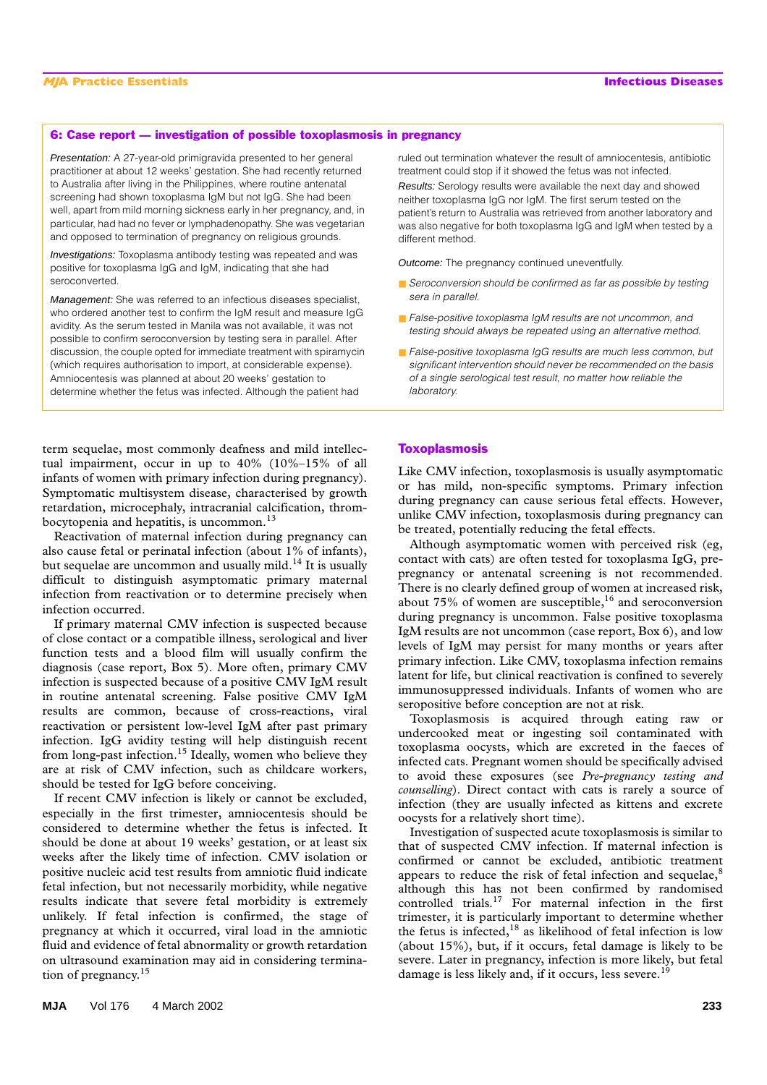### 6: Case report — investigation of possible toxoplasmosis in pregnancy

Presentation: A 27-year-old primigravida presented to her general practitioner at about 12 weeks' gestation. She had recently returned to Australia after living in the Philippines, where routine antenatal screening had shown toxoplasma IgM but not IgG. She had been well, apart from mild morning sickness early in her pregnancy, and, in particular, had had no fever or lymphadenopathy. She was vegetarian and opposed to termination of pregnancy on religious grounds.

Investigations: Toxoplasma antibody testing was repeated and was positive for toxoplasma IgG and IgM, indicating that she had seroconverted.

Management: She was referred to an infectious diseases specialist, who ordered another test to confirm the IgM result and measure IgG avidity. As the serum tested in Manila was not available, it was not possible to confirm seroconversion by testing sera in parallel. After discussion, the couple opted for immediate treatment with spiramycin (which requires authorisation to import, at considerable expense). Amniocentesis was planned at about 20 weeks' gestation to determine whether the fetus was infected. Although the patient had

term sequelae, most commonly deafness and mild intellectual impairment, occur in up to 40% (10%–15% of all infants of women with primary infection during pregnancy). Symptomatic multisystem disease, characterised by growth retardation, microcephaly, intracranial calcification, thrombocytopenia and hepatitis, is uncommon.<sup>13</sup>

Reactivation of maternal infection during pregnancy can also cause fetal or perinatal infection (about 1% of infants), but sequelae are uncommon and usually mild.<sup>14</sup> It is usually difficult to distinguish asymptomatic primary maternal infection from reactivation or to determine precisely when infection occurred.

If primary maternal CMV infection is suspected because of close contact or a compatible illness, serological and liver function tests and a blood film will usually confirm the diagnosis (case report, Box 5). More often, primary CMV infection is suspected because of a positive CMV IgM result in routine antenatal screening. False positive CMV IgM results are common, because of cross-reactions, viral reactivation or persistent low-level IgM after past primary infection. IgG avidity testing will help distinguish recent from long-past infection.15 Ideally, women who believe they are at risk of CMV infection, such as childcare workers, should be tested for IgG before conceiving.

If recent CMV infection is likely or cannot be excluded, especially in the first trimester, amniocentesis should be considered to determine whether the fetus is infected. It should be done at about 19 weeks' gestation, or at least six weeks after the likely time of infection. CMV isolation or positive nucleic acid test results from amniotic fluid indicate fetal infection, but not necessarily morbidity, while negative results indicate that severe fetal morbidity is extremely unlikely. If fetal infection is confirmed, the stage of pregnancy at which it occurred, viral load in the amniotic fluid and evidence of fetal abnormality or growth retardation on ultrasound examination may aid in considering termination of pregnancy.<sup>15</sup>

ruled out termination whatever the result of amniocentesis, antibiotic treatment could stop if it showed the fetus was not infected.

Results: Serology results were available the next day and showed neither toxoplasma IgG nor IgM. The first serum tested on the patient's return to Australia was retrieved from another laboratory and was also negative for both toxoplasma IgG and IgM when tested by a different method.

Outcome: The pregnancy continued uneventfully.

- *Seroconversion should be confirmed as far as possible by testing sera in parallel.*
- *False-positive toxoplasma IgM results are not uncommon, and testing should always be repeated using an alternative method.*
- *False-positive toxoplasma IgG results are much less common, but significant intervention should never be recommended on the basis of a single serological test result, no matter how reliable the laboratory.*

# **Toxoplasmosis**

Like CMV infection, toxoplasmosis is usually asymptomatic or has mild, non-specific symptoms. Primary infection during pregnancy can cause serious fetal effects. However, unlike CMV infection, toxoplasmosis during pregnancy can be treated, potentially reducing the fetal effects.

Although asymptomatic women with perceived risk (eg, contact with cats) are often tested for toxoplasma IgG, prepregnancy or antenatal screening is not recommended. There is no clearly defined group of women at increased risk, about  $75\%$  of women are susceptible,<sup>16</sup> and seroconversion during pregnancy is uncommon. False positive toxoplasma IgM results are not uncommon (case report, Box 6), and low levels of IgM may persist for many months or years after primary infection. Like CMV, toxoplasma infection remains latent for life, but clinical reactivation is confined to severely immunosuppressed individuals. Infants of women who are seropositive before conception are not at risk.

Toxoplasmosis is acquired through eating raw or undercooked meat or ingesting soil contaminated with toxoplasma oocysts, which are excreted in the faeces of infected cats. Pregnant women should be specifically advised to avoid these exposures (see *Pre-pregnancy testing and counselling*). Direct contact with cats is rarely a source of infection (they are usually infected as kittens and excrete oocysts for a relatively short time).

Investigation of suspected acute toxoplasmosis is similar to that of suspected CMV infection. If maternal infection is confirmed or cannot be excluded, antibiotic treatment appears to reduce the risk of fetal infection and sequelae, $8$ although this has not been confirmed by randomised controlled trials.17 For maternal infection in the first trimester, it is particularly important to determine whether the fetus is infected, $18$  as likelihood of fetal infection is low (about 15%), but, if it occurs, fetal damage is likely to be severe. Later in pregnancy, infection is more likely, but fetal damage is less likely and, if it occurs, less severe.<sup>19</sup>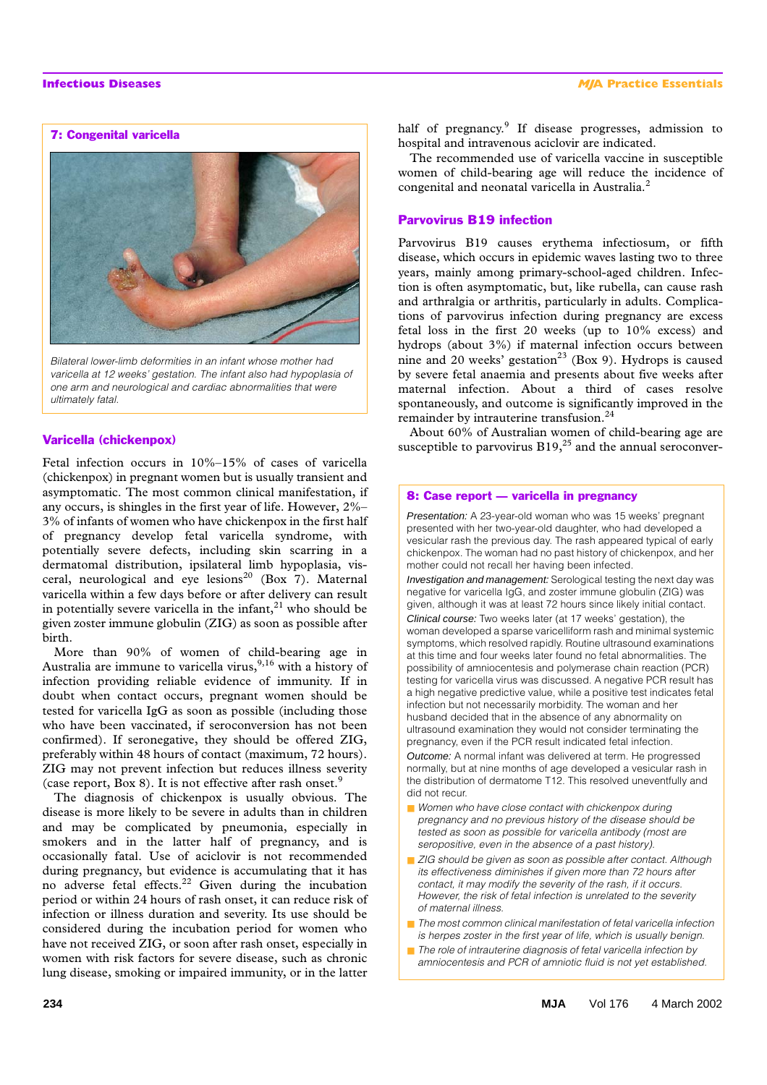## 7: Congenital varicella



*Bilateral lower-limb deformities in an infant whose mother had varicella at 12 weeks' gestation. The infant also had hypoplasia of one arm and neurological and cardiac abnormalities that were ultimately fatal.* 

### Varicella (chickenpox)

Fetal infection occurs in 10%–15% of cases of varicella (chickenpox) in pregnant women but is usually transient and asymptomatic. The most common clinical manifestation, if any occurs, is shingles in the first year of life. However, 2%– 3% of infants of women who have chickenpox in the first half of pregnancy develop fetal varicella syndrome, with potentially severe defects, including skin scarring in a dermatomal distribution, ipsilateral limb hypoplasia, visceral, neurological and eye lesions<sup>20</sup> (Box 7). Maternal varicella within a few days before or after delivery can result in potentially severe varicella in the infant, $^{21}$  who should be given zoster immune globulin (ZIG) as soon as possible after birth.

More than 90% of women of child-bearing age in Australia are immune to varicella virus,  $9,16$  with a history of infection providing reliable evidence of immunity. If in doubt when contact occurs, pregnant women should be tested for varicella IgG as soon as possible (including those who have been vaccinated, if seroconversion has not been confirmed). If seronegative, they should be offered ZIG, preferably within 48 hours of contact (maximum, 72 hours). ZIG may not prevent infection but reduces illness severity (case report, Box 8). It is not effective after rash onset. $9$ 

The diagnosis of chickenpox is usually obvious. The disease is more likely to be severe in adults than in children and may be complicated by pneumonia, especially in smokers and in the latter half of pregnancy, and is occasionally fatal. Use of aciclovir is not recommended during pregnancy, but evidence is accumulating that it has no adverse fetal effects.22 Given during the incubation period or within 24 hours of rash onset, it can reduce risk of infection or illness duration and severity. Its use should be considered during the incubation period for women who have not received ZIG, or soon after rash onset, especially in women with risk factors for severe disease, such as chronic lung disease, smoking or impaired immunity, or in the latter

half of pregnancy.<sup>9</sup> If disease progresses, admission to hospital and intravenous aciclovir are indicated.

The recommended use of varicella vaccine in susceptible women of child-bearing age will reduce the incidence of congenital and neonatal varicella in Australia.<sup>2</sup>

### Parvovirus B19 infection

Parvovirus B19 causes erythema infectiosum, or fifth disease, which occurs in epidemic waves lasting two to three years, mainly among primary-school-aged children. Infection is often asymptomatic, but, like rubella, can cause rash and arthralgia or arthritis, particularly in adults. Complications of parvovirus infection during pregnancy are excess fetal loss in the first 20 weeks (up to 10% excess) and hydrops (about 3%) if maternal infection occurs between nine and 20 weeks' gestation<sup>23</sup> (Box 9). Hydrops is caused by severe fetal anaemia and presents about five weeks after maternal infection. About a third of cases resolve spontaneously, and outcome is significantly improved in the remainder by intrauterine transfusion.<sup>24</sup>

About 60% of Australian women of child-bearing age are susceptible to parvovirus  $B19<sub>1</sub><sup>25</sup>$  and the annual seroconver-

### 8: Case report — varicella in pregnancy

Presentation: A 23-year-old woman who was 15 weeks' pregnant presented with her two-year-old daughter, who had developed a vesicular rash the previous day. The rash appeared typical of early chickenpox. The woman had no past history of chickenpox, and her mother could not recall her having been infected.

Investigation and management: Serological testing the next day was negative for varicella IgG, and zoster immune globulin (ZIG) was given, although it was at least 72 hours since likely initial contact.

Clinical course: Two weeks later (at 17 weeks' gestation), the woman developed a sparse varicelliform rash and minimal systemic symptoms, which resolved rapidly. Routine ultrasound examinations at this time and four weeks later found no fetal abnormalities. The possibility of amniocentesis and polymerase chain reaction (PCR) testing for varicella virus was discussed. A negative PCR result has a high negative predictive value, while a positive test indicates fetal infection but not necessarily morbidity. The woman and her husband decided that in the absence of any abnormality on ultrasound examination they would not consider terminating the pregnancy, even if the PCR result indicated fetal infection.

Outcome: A normal infant was delivered at term. He progressed normally, but at nine months of age developed a vesicular rash in the distribution of dermatome T12. This resolved uneventfully and did not recur.

- Women who have close contact with chickenpox during *pregnancy and no previous history of the disease should be tested as soon as possible for varicella antibody (most are seropositive, even in the absence of a past history).*
- *ZIG should be given as soon as possible after contact. Although its effectiveness diminishes if given more than 72 hours after contact, it may modify the severity of the rash, if it occurs. However, the risk of fetal infection is unrelated to the severity of maternal illness.*
- *The most common clinical manifestation of fetal varicella infection is herpes zoster in the first year of life, which is usually benign.*
- *The role of intrauterine diagnosis of fetal varicella infection by amniocentesis and PCR of amniotic fluid is not yet established.*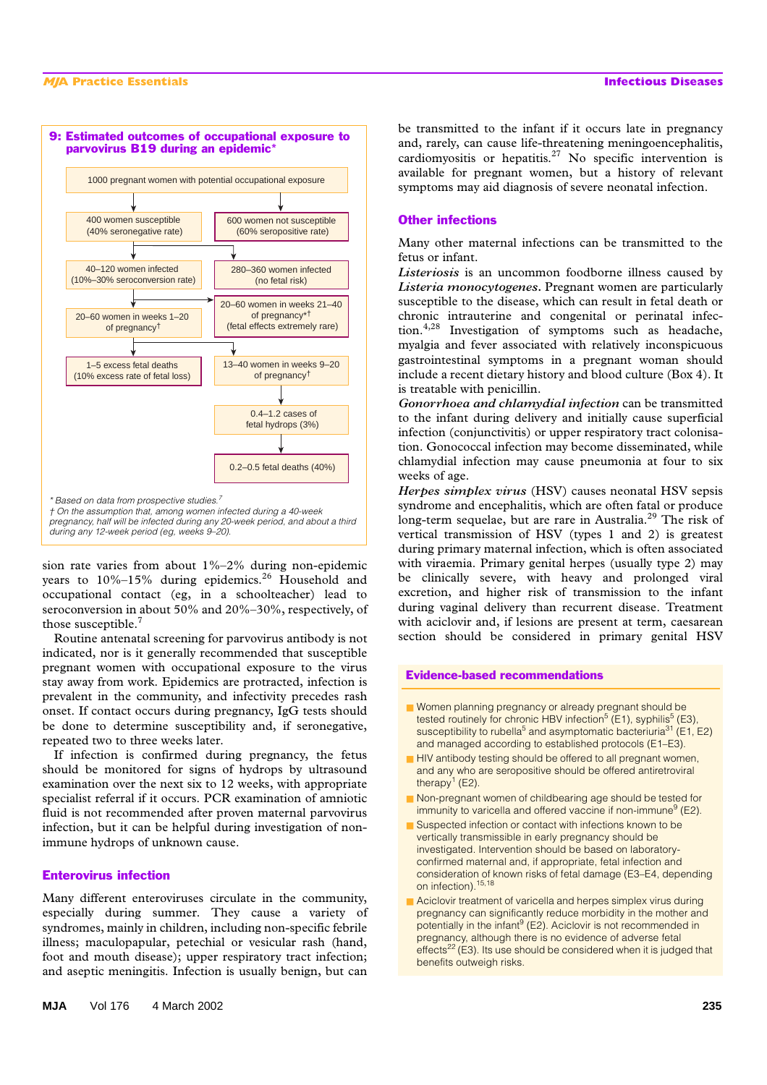

sion rate varies from about 1%–2% during non-epidemic years to  $10\%$ –15% during epidemics.<sup>26</sup> Household and occupational contact (eg, in a schoolteacher) lead to seroconversion in about 50% and 20%–30%, respectively, of those susceptible.<sup>7</sup>

Routine antenatal screening for parvovirus antibody is not indicated, nor is it generally recommended that susceptible pregnant women with occupational exposure to the virus stay away from work. Epidemics are protracted, infection is prevalent in the community, and infectivity precedes rash onset. If contact occurs during pregnancy, IgG tests should be done to determine susceptibility and, if seronegative, repeated two to three weeks later.

If infection is confirmed during pregnancy, the fetus should be monitored for signs of hydrops by ultrasound examination over the next six to 12 weeks, with appropriate specialist referral if it occurs. PCR examination of amniotic fluid is not recommended after proven maternal parvovirus infection, but it can be helpful during investigation of nonimmune hydrops of unknown cause.

# Enterovirus infection

Many different enteroviruses circulate in the community, especially during summer. They cause a variety of syndromes, mainly in children, including non-specific febrile illness; maculopapular, petechial or vesicular rash (hand, foot and mouth disease); upper respiratory tract infection; and aseptic meningitis. Infection is usually benign, but can

be transmitted to the infant if it occurs late in pregnancy and, rarely, can cause life-threatening meningoencephalitis, cardiomyositis or hepatitis.27 No specific intervention is available for pregnant women, but a history of relevant symptoms may aid diagnosis of severe neonatal infection.

### Other infections

Many other maternal infections can be transmitted to the fetus or infant.

*Listeriosis* is an uncommon foodborne illness caused by *Listeria monocytogenes***.** Pregnant women are particularly susceptible to the disease, which can result in fetal death or chronic intrauterine and congenital or perinatal infection.4,28 Investigation of symptoms such as headache, myalgia and fever associated with relatively inconspicuous gastrointestinal symptoms in a pregnant woman should include a recent dietary history and blood culture (Box 4). It is treatable with penicillin.

*Gonorrhoea and chlamydial infection* can be transmitted to the infant during delivery and initially cause superficial infection (conjunctivitis) or upper respiratory tract colonisation. Gonococcal infection may become disseminated, while chlamydial infection may cause pneumonia at four to six weeks of age.

*Herpes simplex virus* (HSV) causes neonatal HSV sepsis syndrome and encephalitis, which are often fatal or produce long-term sequelae, but are rare in Australia.<sup>29</sup> The risk of vertical transmission of HSV (types 1 and 2) is greatest during primary maternal infection, which is often associated with viraemia. Primary genital herpes (usually type 2) may be clinically severe, with heavy and prolonged viral excretion, and higher risk of transmission to the infant during vaginal delivery than recurrent disease. Treatment with aciclovir and, if lesions are present at term, caesarean section should be considered in primary genital HSV

### Evidence-based recommendations

- Women planning pregnancy or already pregnant should be tested routinely for chronic HBV infection<sup>5</sup> (E1), syphilis<sup>5</sup> (E3), susceptibility to rubella<sup>5</sup> and asymptomatic bacteriuria<sup>31</sup> (E1, E2) and managed according to established protocols (E1–E3).
- HIV antibody testing should be offered to all pregnant women, and any who are seropositive should be offered antiretroviral therapy<sup>1</sup> (E2).
- Non-pregnant women of childbearing age should be tested for immunity to varicella and offered vaccine if non-immune<sup>9</sup> (E2).
- Suspected infection or contact with infections known to be vertically transmissible in early pregnancy should be investigated. Intervention should be based on laboratoryconfirmed maternal and, if appropriate, fetal infection and consideration of known risks of fetal damage (E3–E4, depending on infection).<sup>15,18</sup>
- Aciclovir treatment of varicella and herpes simplex virus during pregnancy can significantly reduce morbidity in the mother and potentially in the infant<sup>9</sup> (E2). Aciclovir is not recommended in pregnancy, although there is no evidence of adverse fetal effects<sup>22</sup> (E3). Its use should be considered when it is judged that benefits outweigh risks.